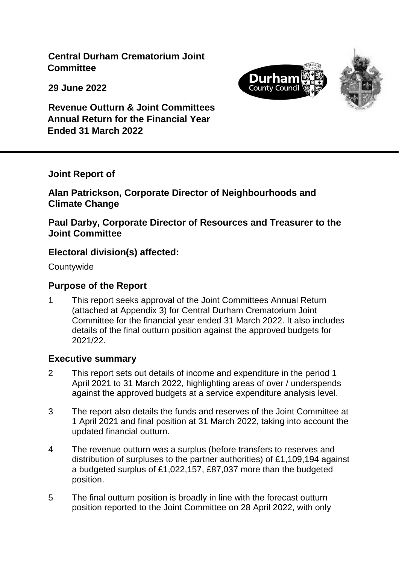**Central Durham Crematorium Joint Committee**

**29 June 2022**



**Revenue Outturn & Joint Committees Annual Return for the Financial Year Ended 31 March 2022**

#### **Joint Report of**

**Alan Patrickson, Corporate Director of Neighbourhoods and Climate Change**

#### **Paul Darby, Corporate Director of Resources and Treasurer to the Joint Committee**

## **Electoral division(s) affected:**

**Countywide** 

## **Purpose of the Report**

1 This report seeks approval of the Joint Committees Annual Return (attached at Appendix 3) for Central Durham Crematorium Joint Committee for the financial year ended 31 March 2022. It also includes details of the final outturn position against the approved budgets for 2021/22.

#### **Executive summary**

- 2 This report sets out details of income and expenditure in the period 1 April 2021 to 31 March 2022, highlighting areas of over / underspends against the approved budgets at a service expenditure analysis level.
- 3 The report also details the funds and reserves of the Joint Committee at 1 April 2021 and final position at 31 March 2022, taking into account the updated financial outturn.
- 4 The revenue outturn was a surplus (before transfers to reserves and distribution of surpluses to the partner authorities) of £1,109,194 against a budgeted surplus of £1,022,157, £87,037 more than the budgeted position.
- 5 The final outturn position is broadly in line with the forecast outturn position reported to the Joint Committee on 28 April 2022, with only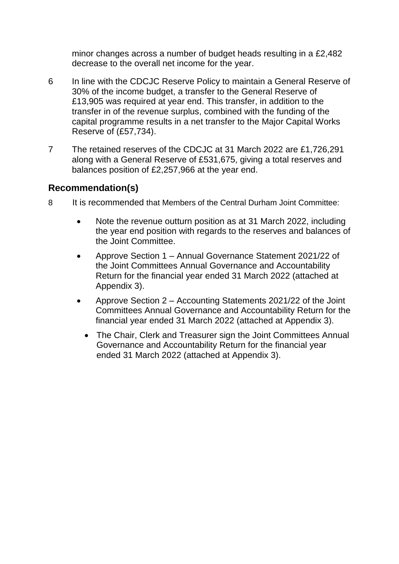minor changes across a number of budget heads resulting in a £2,482 decrease to the overall net income for the year.

- 6 In line with the CDCJC Reserve Policy to maintain a General Reserve of 30% of the income budget, a transfer to the General Reserve of £13,905 was required at year end. This transfer, in addition to the transfer in of the revenue surplus, combined with the funding of the capital programme results in a net transfer to the Major Capital Works Reserve of (£57,734).
- 7 The retained reserves of the CDCJC at 31 March 2022 are £1,726,291 along with a General Reserve of £531,675, giving a total reserves and balances position of £2,257,966 at the year end.

## **Recommendation(s)**

- 8 It is recommended that Members of the Central Durham Joint Committee:
	- Note the revenue outturn position as at 31 March 2022, including the year end position with regards to the reserves and balances of the Joint Committee.
	- Approve Section 1 Annual Governance Statement 2021/22 of the Joint Committees Annual Governance and Accountability Return for the financial year ended 31 March 2022 (attached at Appendix 3).
	- Approve Section 2 Accounting Statements 2021/22 of the Joint Committees Annual Governance and Accountability Return for the financial year ended 31 March 2022 (attached at Appendix 3).
		- The Chair, Clerk and Treasurer sign the Joint Committees Annual Governance and Accountability Return for the financial year ended 31 March 2022 (attached at Appendix 3).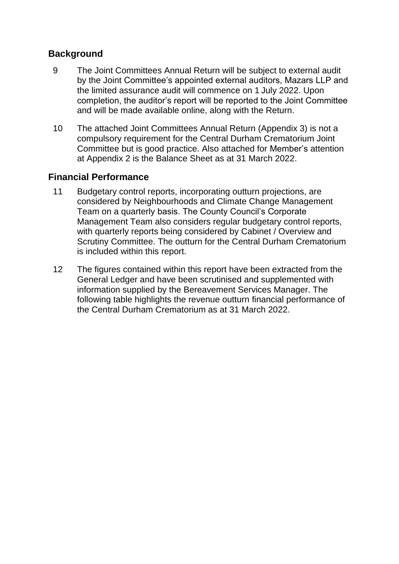#### **Background**

- 9 The Joint Committees Annual Return will be subject to external audit by the Joint Committee's appointed external auditors, Mazars LLP and the limited assurance audit will commence on 1 July 2022. Upon completion, the auditor's report will be reported to the Joint Committee and will be made available online, along with the Return.
- 10 The attached Joint Committees Annual Return (Appendix 3) is not a compulsory requirement for the Central Durham Crematorium Joint Committee but is good practice. Also attached for Member's attention at Appendix 2 is the Balance Sheet as at 31 March 2022.

## **Financial Performance**

- 11 Budgetary control reports, incorporating outturn projections, are considered by Neighbourhoods and Climate Change Management Team on a quarterly basis. The County Council's Corporate Management Team also considers regular budgetary control reports, with quarterly reports being considered by Cabinet / Overview and Scrutiny Committee. The outturn for the Central Durham Crematorium is included within this report.
- 12 The figures contained within this report have been extracted from the General Ledger and have been scrutinised and supplemented with information supplied by the Bereavement Services Manager. The following table highlights the revenue outturn financial performance of the Central Durham Crematorium as at 31 March 2022.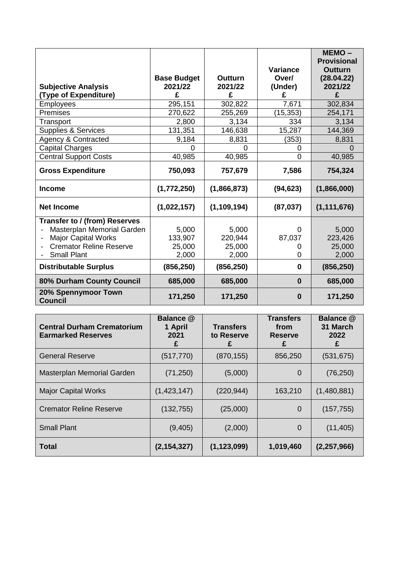|                                       |                    |                |                   | MEMO-                        |
|---------------------------------------|--------------------|----------------|-------------------|------------------------------|
|                                       |                    |                |                   | <b>Provisional</b>           |
|                                       | <b>Base Budget</b> | <b>Outturn</b> | Variance<br>Over/ | <b>Outturn</b><br>(28.04.22) |
| <b>Subjective Analysis</b>            | 2021/22            | 2021/22        | (Under)           | 2021/22                      |
| (Type of Expenditure)                 | £                  | £              | £                 | £                            |
| <b>Employees</b>                      | 295,151            | 302,822        | 7,671             | 302,834                      |
| Premises                              | 270,622            | 255,269        | (15, 353)         | 254,171                      |
| Transport                             | 2,800              | 3,134          | 334               | 3,134                        |
| <b>Supplies &amp; Services</b>        | 131,351            | 146,638        | 15,287            | 144,369                      |
| <b>Agency &amp; Contracted</b>        | 9,184              | 8,831          | (353)             | 8,831                        |
| <b>Capital Charges</b>                | $\Omega$           | $\Omega$       | 0                 | $\Omega$                     |
| <b>Central Support Costs</b>          | 40,985             | 40,985         | $\overline{0}$    | 40,985                       |
| <b>Gross Expenditure</b>              | 750,093            | 757,679        | 7,586             | 754,324                      |
| <b>Income</b>                         | (1,772,250)        | (1,866,873)    | (94, 623)         | (1,866,000)                  |
| <b>Net Income</b>                     | (1,022,157)        | (1, 109, 194)  | (87, 037)         | (1, 111, 676)                |
| Transfer to / (from) Reserves         |                    |                |                   |                              |
| Masterplan Memorial Garden            | 5,000              | 5,000          | 0                 | 5,000                        |
| <b>Major Capital Works</b>            | 133,907            | 220,944        | 87,037            | 223,426                      |
| <b>Cremator Reline Reserve</b>        | 25,000             | 25,000         | 0                 | 25,000                       |
| <b>Small Plant</b>                    | 2,000              | 2,000          | 0                 | 2,000                        |
| <b>Distributable Surplus</b>          | (856, 250)         | (856, 250)     | 0                 | (856, 250)                   |
| 80% Durham County Council             | 685,000            | 685,000        | $\bf{0}$          | 685,000                      |
| 20% Spennymoor Town<br><b>Council</b> | 171,250            | 171,250        | $\bf{0}$          | 171,250                      |

| <b>Central Durham Crematorium</b><br><b>Earmarked Reserves</b> | Balance @<br>1 April<br>2021<br>£ | <b>Transfers</b><br>to Reserve<br>£ | <b>Transfers</b><br>from<br><b>Reserve</b><br>£ | <b>Balance @</b><br>31 March<br>2022<br>£ |
|----------------------------------------------------------------|-----------------------------------|-------------------------------------|-------------------------------------------------|-------------------------------------------|
| <b>General Reserve</b>                                         | (517, 770)                        | (870, 155)                          | 856,250                                         | (531, 675)                                |
| Masterplan Memorial Garden                                     | (71, 250)                         | (5,000)                             | 0                                               | (76, 250)                                 |
| <b>Major Capital Works</b>                                     | (1,423,147)                       | (220, 944)                          | 163,210                                         | (1,480,881)                               |
| <b>Cremator Reline Reserve</b>                                 | (132, 755)                        | (25,000)                            | $\Omega$                                        | (157, 755)                                |
| <b>Small Plant</b>                                             | (9,405)                           | (2,000)                             | 0                                               | (11, 405)                                 |
| <b>Total</b>                                                   | (2, 154, 327)                     | (1, 123, 099)                       | 1,019,460                                       | (2,257,966)                               |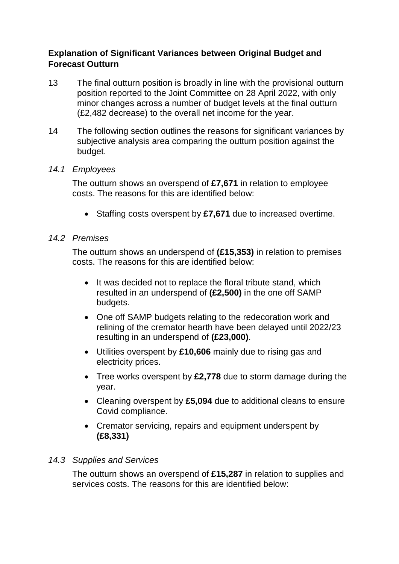#### **Explanation of Significant Variances between Original Budget and Forecast Outturn**

- 13 The final outturn position is broadly in line with the provisional outturn position reported to the Joint Committee on 28 April 2022, with only minor changes across a number of budget levels at the final outturn (£2,482 decrease) to the overall net income for the year.
- 14 The following section outlines the reasons for significant variances by subjective analysis area comparing the outturn position against the budget.

#### *14.1 Employees*

The outturn shows an overspend of **£7,671** in relation to employee costs. The reasons for this are identified below:

• Staffing costs overspent by £7,671 due to increased overtime.

#### *14.2 Premises*

The outturn shows an underspend of **(£15,353)** in relation to premises costs. The reasons for this are identified below:

- It was decided not to replace the floral tribute stand, which resulted in an underspend of **(£2,500)** in the one off SAMP budgets.
- One off SAMP budgets relating to the redecoration work and relining of the cremator hearth have been delayed until 2022/23 resulting in an underspend of **(£23,000)**.
- Utilities overspent by **£10,606** mainly due to rising gas and electricity prices.
- Tree works overspent by **£2,778** due to storm damage during the year.
- Cleaning overspent by **£5,094** due to additional cleans to ensure Covid compliance.
- Cremator servicing, repairs and equipment underspent by **(£8,331)**

#### *14.3 Supplies and Services*

The outturn shows an overspend of **£15,287** in relation to supplies and services costs. The reasons for this are identified below: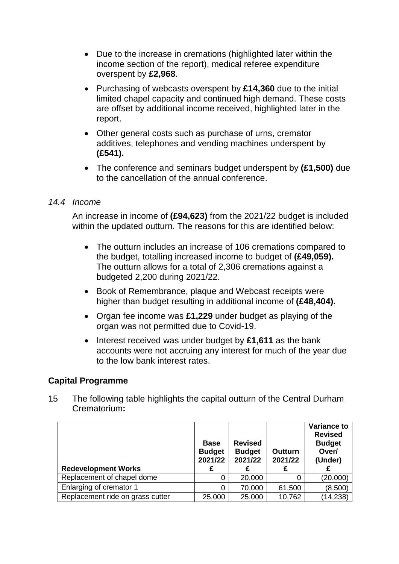- Due to the increase in cremations (highlighted later within the income section of the report), medical referee expenditure overspent by **£2,968**.
- Purchasing of webcasts overspent by **£14,360** due to the initial limited chapel capacity and continued high demand. These costs are offset by additional income received, highlighted later in the report.
- Other general costs such as purchase of urns, cremator additives, telephones and vending machines underspent by **(£541).**
- The conference and seminars budget underspent by **(£1,500)** due to the cancellation of the annual conference.

#### *14.4 Income*

An increase in income of **(£94,623)** from the 2021/22 budget is included within the updated outturn. The reasons for this are identified below:

- The outturn includes an increase of 106 cremations compared to the budget, totalling increased income to budget of **(£49,059).** The outturn allows for a total of 2,306 cremations against a budgeted 2,200 during 2021/22.
- Book of Remembrance, plaque and Webcast receipts were higher than budget resulting in additional income of **(£48,404).**
- Organ fee income was **£1,229** under budget as playing of the organ was not permitted due to Covid-19.
- Interest received was under budget by £1,611 as the bank accounts were not accruing any interest for much of the year due to the low bank interest rates.

#### **Capital Programme**

15 The following table highlights the capital outturn of the Central Durham Crematorium**:**

|                                  | <b>Base</b><br><b>Budget</b><br>2021/22 | <b>Revised</b><br><b>Budget</b><br>2021/22 | <b>Outturn</b><br>2021/22 | <b>Variance to</b><br><b>Revised</b><br><b>Budget</b><br>Over/<br>(Under) |
|----------------------------------|-----------------------------------------|--------------------------------------------|---------------------------|---------------------------------------------------------------------------|
| <b>Redevelopment Works</b>       |                                         |                                            |                           |                                                                           |
| Replacement of chapel dome       | 0                                       | 20,000                                     | 0                         | (20,000)                                                                  |
| Enlarging of cremator 1          | 0                                       | 70,000                                     | 61,500                    | (8,500)                                                                   |
| Replacement ride on grass cutter | 25,000                                  | 25,000                                     | 10,762                    | (14, 238)                                                                 |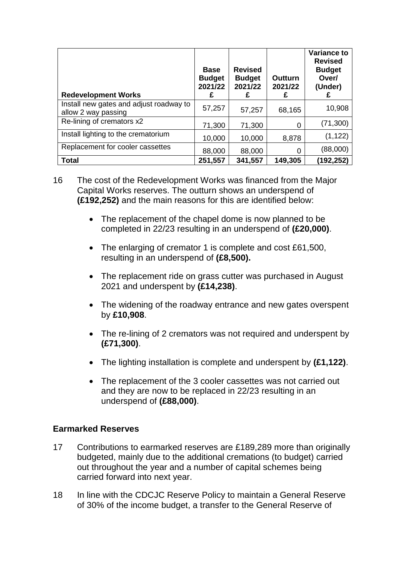| <b>Redevelopment Works</b>                                     | <b>Base</b><br><b>Budget</b><br>2021/22<br>£ | <b>Revised</b><br><b>Budget</b><br>2021/22<br>£ | Outturn<br>2021/22<br>£ | <b>Variance to</b><br><b>Revised</b><br><b>Budget</b><br>Over/<br>(Under)<br>£ |
|----------------------------------------------------------------|----------------------------------------------|-------------------------------------------------|-------------------------|--------------------------------------------------------------------------------|
| Install new gates and adjust roadway to<br>allow 2 way passing | 57,257                                       | 57,257                                          | 68,165                  | 10,908                                                                         |
| Re-lining of cremators x2                                      | 71,300                                       | 71,300                                          |                         | (71, 300)                                                                      |
| Install lighting to the crematorium                            | 10,000                                       | 10,000                                          | 8,878                   | (1, 122)                                                                       |
| Replacement for cooler cassettes                               | 88,000                                       | 88,000                                          |                         | (88,000)                                                                       |
| <b>Total</b>                                                   | 251,557                                      | 341,557                                         | 149,305                 | (192,252)                                                                      |

- 16 The cost of the Redevelopment Works was financed from the Major Capital Works reserves. The outturn shows an underspend of **(£192,252)** and the main reasons for this are identified below:
	- The replacement of the chapel dome is now planned to be completed in 22/23 resulting in an underspend of **(£20,000)**.
	- The enlarging of cremator 1 is complete and cost £61,500, resulting in an underspend of **(£8,500).**
	- The replacement ride on grass cutter was purchased in August 2021 and underspent by **(£14,238)**.
	- The widening of the roadway entrance and new gates overspent by **£10,908**.
	- The re-lining of 2 cremators was not required and underspent by **(£71,300)**.
	- The lighting installation is complete and underspent by **(£1,122)**.
	- The replacement of the 3 cooler cassettes was not carried out and they are now to be replaced in 22/23 resulting in an underspend of **(£88,000)**.

#### **Earmarked Reserves**

- 17 Contributions to earmarked reserves are £189,289 more than originally budgeted, mainly due to the additional cremations (to budget) carried out throughout the year and a number of capital schemes being carried forward into next year.
- 18 In line with the CDCJC Reserve Policy to maintain a General Reserve of 30% of the income budget, a transfer to the General Reserve of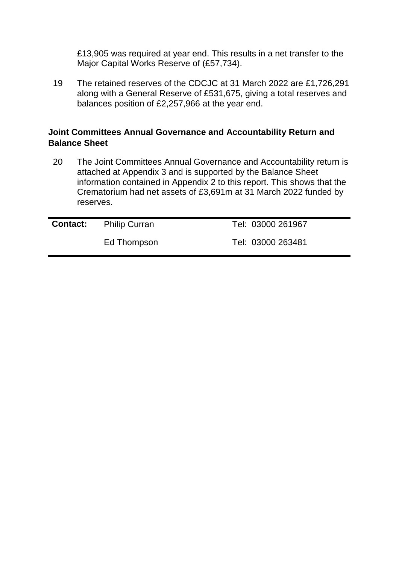£13,905 was required at year end. This results in a net transfer to the Major Capital Works Reserve of (£57,734).

19 The retained reserves of the CDCJC at 31 March 2022 are £1,726,291 along with a General Reserve of £531,675, giving a total reserves and balances position of £2,257,966 at the year end.

#### **Joint Committees Annual Governance and Accountability Return and Balance Sheet**

20 The Joint Committees Annual Governance and Accountability return is attached at Appendix 3 and is supported by the Balance Sheet information contained in Appendix 2 to this report. This shows that the Crematorium had net assets of £3,691m at 31 March 2022 funded by reserves.

| <b>Contact:</b> Philip Curran | Tel: 03000 261967 |
|-------------------------------|-------------------|
| Ed Thompson                   | Tel: 03000 263481 |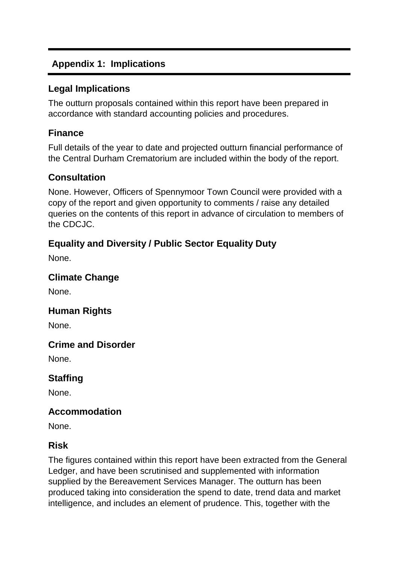# **Appendix 1: Implications**

#### **Legal Implications**

The outturn proposals contained within this report have been prepared in accordance with standard accounting policies and procedures.

## **Finance**

Full details of the year to date and projected outturn financial performance of the Central Durham Crematorium are included within the body of the report.

## **Consultation**

None. However, Officers of Spennymoor Town Council were provided with a copy of the report and given opportunity to comments / raise any detailed queries on the contents of this report in advance of circulation to members of the CDCJC.

# **Equality and Diversity / Public Sector Equality Duty**

None.

## **Climate Change**

None.

# **Human Rights**

None.

# **Crime and Disorder**

None.

# **Staffing**

None.

# **Accommodation**

None.

#### **Risk**

The figures contained within this report have been extracted from the General Ledger, and have been scrutinised and supplemented with information supplied by the Bereavement Services Manager. The outturn has been produced taking into consideration the spend to date, trend data and market intelligence, and includes an element of prudence. This, together with the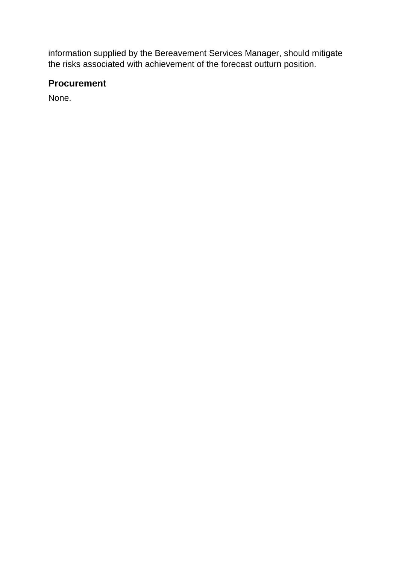information supplied by the Bereavement Services Manager, should mitigate the risks associated with achievement of the forecast outturn position.

## **Procurement**

None.